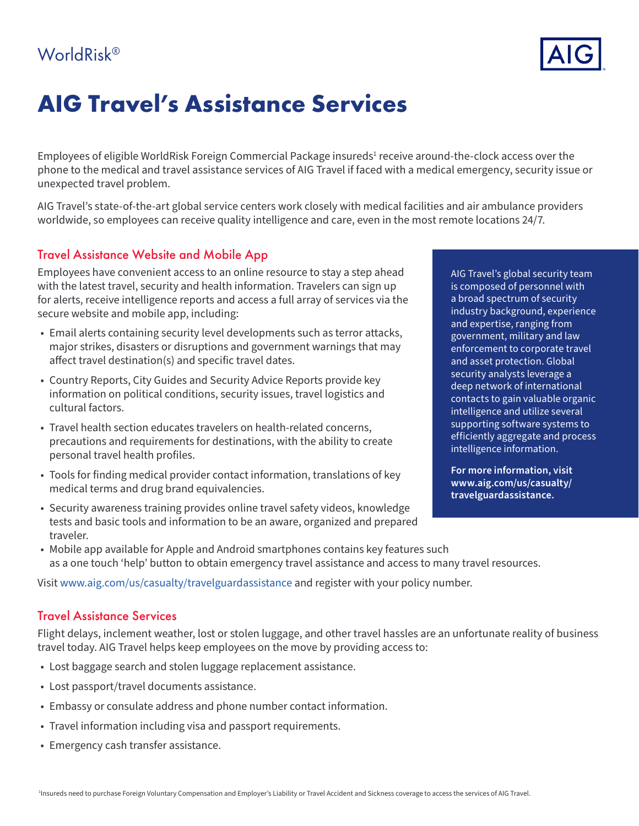### WorldRisk®



# **AIG Travel's Assistance Services**

Employees of eligible WorldRisk Foreign Commercial Package insureds<sup>1</sup> receive around-the-clock access over the phone to the medical and travel assistance services of AIG Travel if faced with a medical emergency, security issue or unexpected travel problem.

AIG Travel's state-of-the-art global service centers work closely with medical facilities and air ambulance providers worldwide, so employees can receive quality intelligence and care, even in the most remote locations 24/7.

### Travel Assistance Website and Mobile App

Employees have convenient access to an online resource to stay a step ahead with the latest travel, security and health information. Travelers can sign up for alerts, receive intelligence reports and access a full array of services via the secure website and mobile app, including:

- Email alerts containing security level developments such as terror attacks, major strikes, disasters or disruptions and government warnings that may affect travel destination(s) and specific travel dates.
- Country Reports, City Guides and Security Advice Reports provide key information on political conditions, security issues, travel logistics and cultural factors.
- Travel health section educates travelers on health-related concerns, precautions and requirements for destinations, with the ability to create personal travel health profiles.
- Tools for finding medical provider contact information, translations of key medical terms and drug brand equivalencies.
- Security awareness training provides online travel safety videos, knowledge tests and basic tools and information to be an aware, organized and prepared traveler.

AIG Travel's global security team is composed of personnel with a broad spectrum of security industry background, experience and expertise, ranging from government, military and law enforcement to corporate travel and asset protection. Global security analysts leverage a deep network of international contacts to gain valuable organic intelligence and utilize several supporting software systems to efficiently aggregate and process intelligence information.

**For more information, visit [www.aig.com/us/casualty/](http://www.aig.com/us/casualty/travelguardassistance) [travelguardassistance.](http://www.aig.com/us/casualty/travelguardassistance)**

• Mobile app available for Apple and Android smartphones contains key features such as a one touch 'help' button to obtain emergency travel assistance and access to many travel resources.

Visi[t www.aig.com/us/casualty/travelguardassistance](http://www.aig.com/us/casualty/travelguardassistance) and register with your policy number.

#### Travel Assistance Services

Flight delays, inclement weather, lost or stolen luggage, and other travel hassles are an unfortunate reality of business travel today. AIG Travel helps keep employees on the move by providing access to:

- Lost baggage search and stolen luggage replacement assistance.
- Lost passport/travel documents assistance.
- Embassy or consulate address and phone number contact information.
- Travel information including visa and passport requirements.
- Emergency cash transfer assistance.